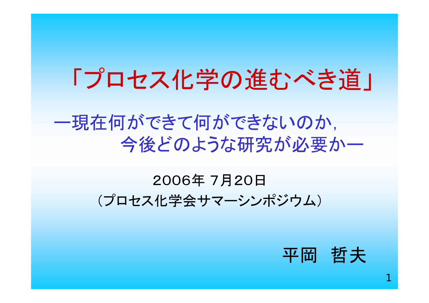# 「プロセス化学の進むべき道」

### ー現在何ができて何ができないのか, 今後どのような研究が必要かー

#### 2006年 7月20日 (プロセス化学会サマーシンポジウム)

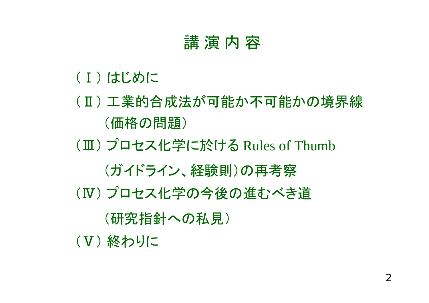#### 講演内容

- (Ⅰ) はじめに
- (Ⅱ) 工業的合成法が可能か不可能かの境界線 (価格の問題)
- (Ⅲ) プロセス化学に於ける Rules of Thumb

(ガイドライン、経験則)の再考察

(Ⅳ) プロセス化学の今後の進むべき道

(研究指針への私見)

(Ⅴ) 終わりに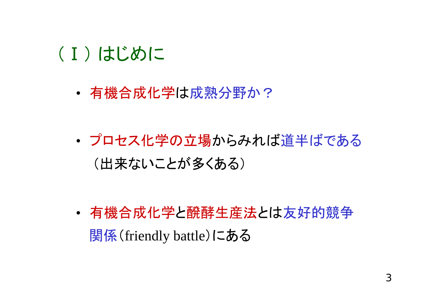### (Ⅰ) はじめに

•有機合成化学は成熟分野か?

• プロセス化学の立場からみれば道半ばである (出来ないことが多くある)

• 有機合成化学と醗酵生産法とは友好的競争 関係(friendly battle)にある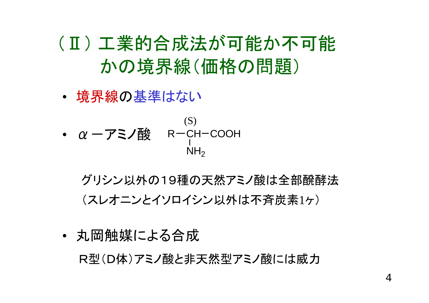(Ⅱ) 工業的合成法が可能か不可能 かの境界線(価格の問題)

•境界線の基準はない

\n- $$
\alpha - \mathcal{F} \equiv \mathcal{F}
$$
  $\mathbb{B}^{\text{(S)}}$   $\mathsf{R} - \mathsf{CH}\text{-}\mathsf{COOH}$   $\mathsf{NH}_2$   $\mathsf{NH}_2$

グリシン以外の19種の天然アミノ酸は全部醗酵法 (スレオニンとイソロイシン以外は不斉炭素1ヶ)

• 丸岡触媒による合成 R型(D体)アミノ酸と非天然型アミノ酸には威力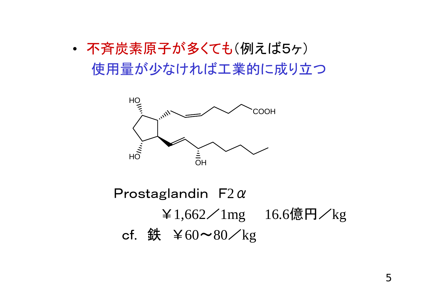#### • 不斉炭素原子が多くても(例えば5ヶ) 使用量が少なければ工業的に成り立つ



Prostaglandin  $F2\alpha$ ¥1,662/1mg 16.6億円/kg cf. 鉄  $\angle 60 \sim 80 \times \text{kg}$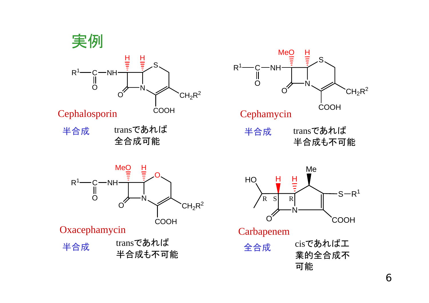



半合成 transであれば 全合成可能



NO $R<sup>1</sup>$  $\mathsf{\cdot}$ NH $\mathsf{\cdot}$ OMeO $\frac{H}{I}$  $\bigcap$  $CH<sub>2</sub>R<sup>2</sup>$ 

Oxacephamycin

transであれば 半合成も不可能 半合成 全合成

COOH



Carbapenem

cisであれば工 業的全合成不 可能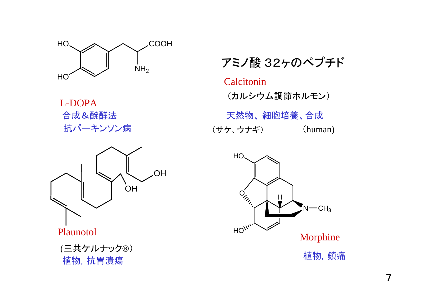

L-DOPA



Plaunotol

アミノ酸 32ヶのペプチド

Calcitonin(カルシウム調節ホルモン) 合成&醗酵法 おおおおい あたい 天然物、細胞培養、合成 抗パーキンソン病 (サケ、ウナギ) (human)

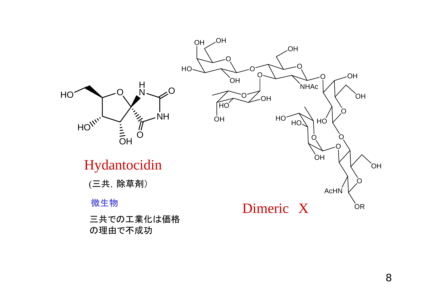

三共での工業化は価格 の理由で不成功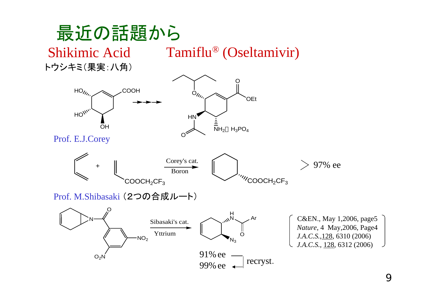### 最近の話題から

Tamiflu ® (Oseltamivir)

トウシキミ(果実:八角)

Shikimic Acid

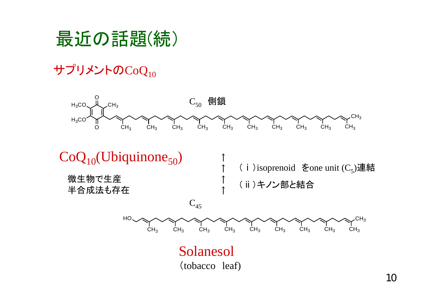### 最近の話題(続)

#### サプリメントの $CoQ_{10}$

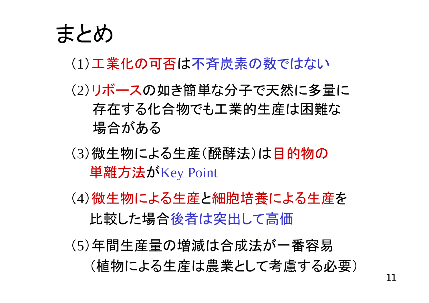

#### (1)工業化の可否は不斉炭素の数ではない

#### (2)リボースの如き簡単な分子で天然に多量に 存在する化合物でも工業的生産は困難な 場合がある

- (3)微生物による生産(醗酵法)は目的物の 単離方法がKey Point
- (4)微生物による生産と細胞培養による生産を 比較した場合後者は突出して高価
- (5)年間生産量の増減は合成法が一番容易 (植物による生産は農業として考慮する必要)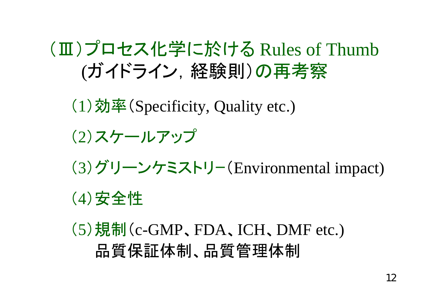## (Ⅲ)プロセス化学に於ける Rules of Thumb (ガイドライン,経験則)の再考察

( 1)効率 (Specificity, Quality etc.)

- ( 2)スケールアップ
- ( 3)グリーンケミストリー (Environmental impact)

( 4)安全性

( 5)規制 (c-GMP 、FDA 、ICH 、DMF etc.) 品質保証体制、品質管理体制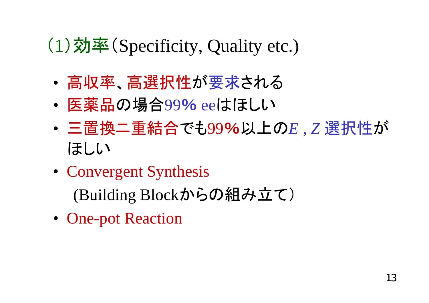## (1)効率(Specificity, Quality etc.)

- •高収率、高選択性が要求される
- •医薬品の場合99% eeはほしい
- • 三置換ニ重結合でも99%以上の*<sup>E</sup>* , *<sup>Z</sup>*選択性が ほしい
- Convergent Synthesis (Building Blockからの組み立て)
- One-pot Reaction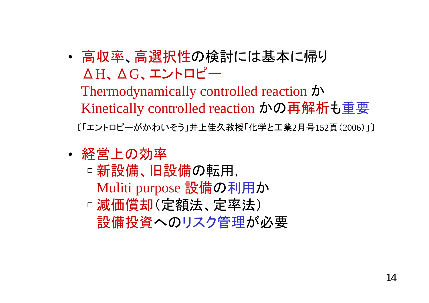• 高収率、高選択性の検討には基本に帰り ΔH、ΔG、エントロピー

Thermodynamically controlled reaction か Kinetically controlled reaction かの再解析も重要 〔「エントロピーがかわいそう」井上佳久教授「化学と工業2月号152頁(2006)」〕

- 経営上の効率
	- ☐□ 新設備、旧設備の転用, Muliti purpose 設備の利用か ☐ 減価償却(定額法、定率法) 設備投資へのリスク管理が必要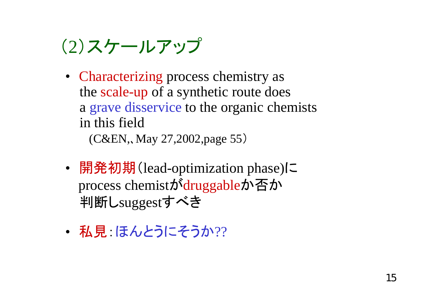## (2)スケールアップ

• Characterizing process chemistry as the scale-up of a synthetic route does a grave disservice to the organic chemists in this field

(C&EN,、May 27,2002,page 55)

- • 開発初期(lead-optimization phase)に process chemistがdruggableか否か 判断しsugges<sup>t</sup>すべき
- •• 私見 ほんとうにそうか??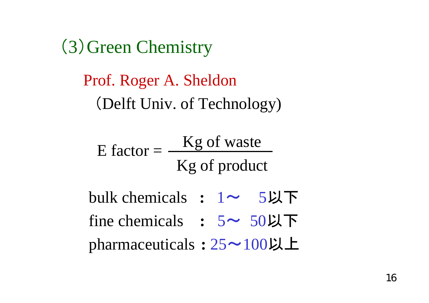(3)Green Chemistry

### Prof. Roger A. Sheldon (Delft Univ. of Technology)

E factor  $=$ Kg of waste Kg of product

- bulk chemicals **:** 1<sup>~</sup> 5以下
- fine chemicals : 5~ 50以下

<sup>p</sup>harmaceuticals **:** <sup>25</sup>~100以上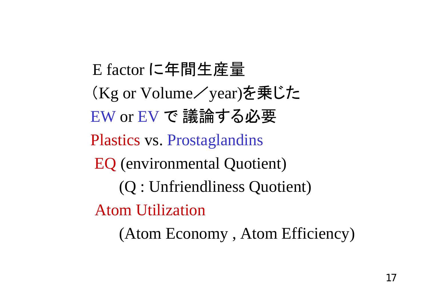E factor に年間生産量 (Kg or Volume/year)を乗じた EW or EV で 議論する必要 Plastics vs. Prostaglandins EQ (environmental Quotient) (Q : Unfriendliness Quotient) Atom Utilization(Atom Economy , Atom Efficiency)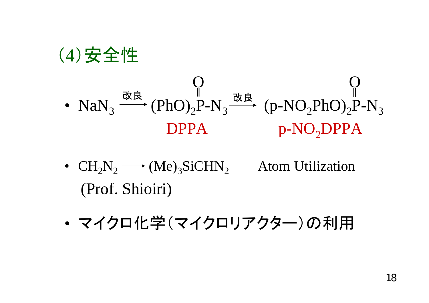

(4)安全性

- $CH_2N_2 \longrightarrow (Me)_3Sichi N_2$  Atom Utilization (Prof. Shioiri)
- •マイクロ化学(マイクロリアクター)の利用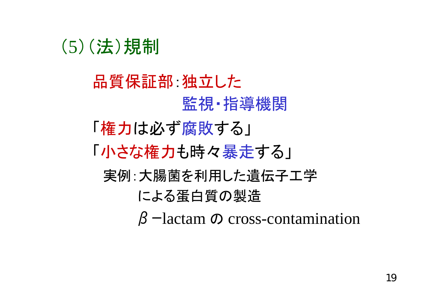### (5)(法)規制

品質保証部:独立した 監視・指導機関 「権力は必ず腐敗する」 「小さな権力も時々暴走する」 実例:大腸菌を利用した遺伝子工学 による蛋白質の製造 βーlactam の cross-contamination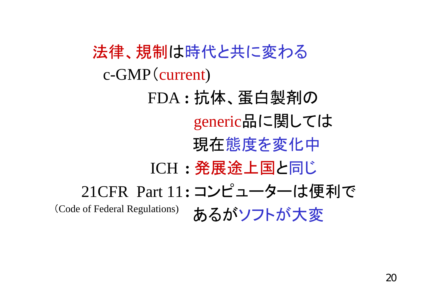法律、規制は時代と共に変わる c-GMP(current) FDA **:** 抗体、蛋白製剤の generic品に関しては 現在態度を変化中 ICH **:** 発展途上国と同じ 21CFR Part 11**:** コンピューターは便利で (Code of Federal Regulations) あるがソフトが大変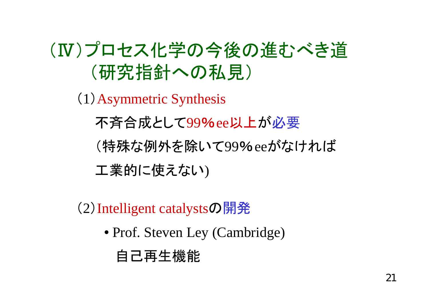## (Ⅳ)プロセス化学の今後の進むべき道 (研究指針への私見)

( 1 )Asymmetric Synthesis

不斉合成として99 %ee以上 が必要

(特殊な例外を除いて99 %eeがなければ

工業的に使えない )

( 2 )Intelligent catalysts の開発

● Prof. Steven Ley (Cambridge)

#### 自己再生機能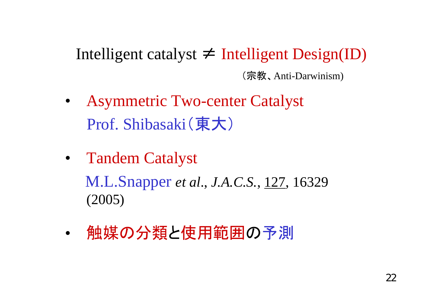Intelligent catalyst ≠ Intelligent Design(ID) (宗教、Anti-Darwinism)

- • Asymmetric Two-center Catalyst Prof. Shibasaki(東大)
- Tandem Catalyst M.L.Snapper *et al*., *J.A.C.S.*, 127, 16329 (2005)
- •• 触媒の分類と使用範囲の予測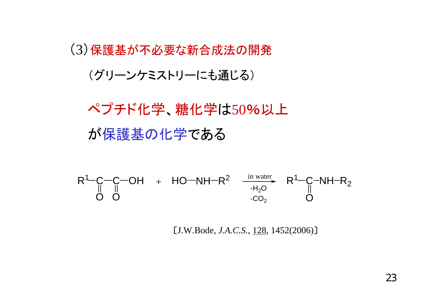(3)保護基が不必要な新合成法の開発 (グリーンケミストリーにも通じる)

ペプチド化学、糖化学は50%以上 が保護基の化学である

 $R^1$ -C-C-OH O O  $\mathsf{HO}-\mathsf{NH-}\mathsf{R}^2$   $\stackrel{\textrm{\tiny{in water}}}{\textrm{\tiny{in}}}\;\; \mathsf{R}^1\!\!-\!\!\mathsf{C}\!\!-\!\!\mathsf{NH}\!\!-\!\!\mathsf{R}_2$ O+ in water -H $_{2}$ O -CO $_{\rm 2}$ 

〔J.W.Bode, *J.A.C.S.*, 128, 1452(2006)〕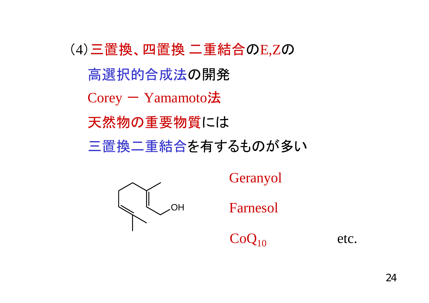(4)三置換、四置換 二重結合のE,Zの 高選択的合成法の開発  $Corey - Yamamoto$ 法 天然物の重要物質には 三置換二重結合を有するものが多い



Geranyol

Farnesol

 $CoO<sub>10</sub>$ 

etc.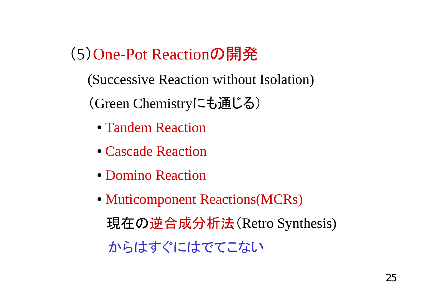(5)One-Pot Reactionの開発

(Successive Reaction without Isolation)

(Green Chemistryにも通じる)

- Tandem Reaction
- Cascade Reaction
- Domino Reaction
- Muticomponent Reactions(MCRs) 現在の逆合成分析法(Retro Synthesis) からはすぐにはでてこない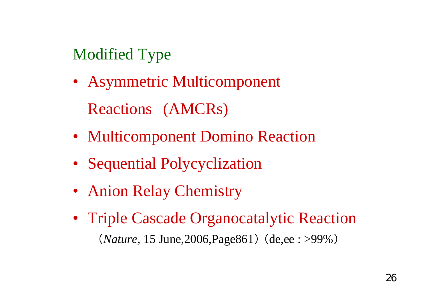#### Modified Type

- Asymmetric Multicomponent Reactions (AMCRs)
- Multicomponent Domino Reaction
- Sequential Polycyclization
- Anion Relay Chemistry
- Triple Cascade Organocatalytic Reaction (*Nature*, 15 June,2006,Page861) (de,ee : >99%)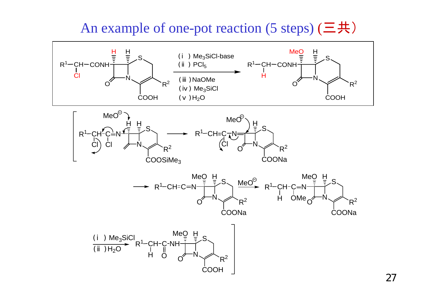#### An example of one-pot reaction (5 steps) (三共)







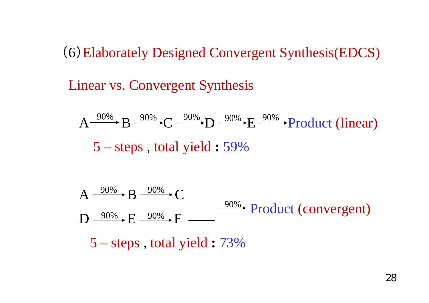(6)Elaborately Designed Convergent Synthesis(EDCS)

Linear vs. Convergent Synthesis

$$
A \xrightarrow{90\%} B \xrightarrow{90\%} C \xrightarrow{90\%} D \xrightarrow{90\%} E \xrightarrow{90\%} Product (linear)
$$
  
5 - steps, total yield : 59%



5 – steps , total yield **:** 73%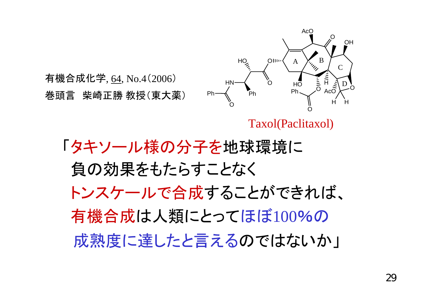

巻頭言 柴崎正勝 教授(東大薬)

Taxol(Paclitaxol)

「タキソール様の分子を地球環境に 負の効果をもたらすことなく トンスケールで合成することができれば、 有機合成は人類にとってほぼ100%の 成熟度に達したと言えるのではないか」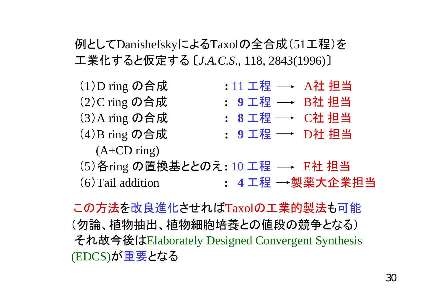#### 例としてDanishefskyによるTaxolの全合成(51工程)を 工業化すると仮定する 〔*J.A.C.S.,* 118, 2843(1996)〕



(6)Tail addition **: 4** 工程 製薬大企業担当

この方法を改良進化させればTaxolの工業的製法も可能 (勿論、植物抽出、植物細胞培養との値段の競争となる) それ故今後はElaborately Designed Convergent Synthesis (EDCS)が重要となる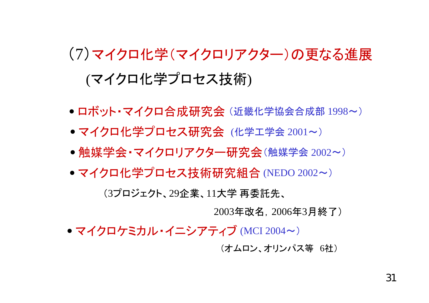## (7)マイクロ化学(マイクロリアクター)の更なる進展 (マイクロ化学プロセス技術)

- ロボット・マイクロ合成研究会 (近畿化学協会合成部 1998~)
- マイクロ化学プロセス研究会 (化学工学会 2001~)
- 触媒学会・マイクロリアクター研究会(触媒学会 <sup>2002</sup>~)
- マイクロ化学プロセス技術研究組合 (NEDO 2002~) (3プロジェクト、29企業、11大学 再委託先、

2003年改名,2006年3月終了)

● マイクロケミカル・イニシアティブ (MCI 2004~)

(オムロン、オリンパス等 6社)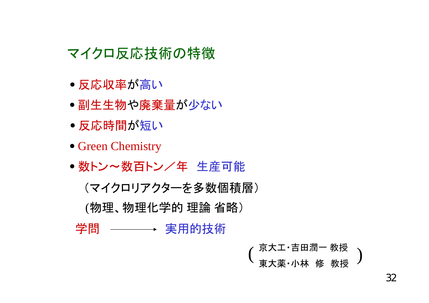#### マイクロ反応技術の特徴

- 反応収率 が高い
- **●副生生物や廃棄量が少ない**
- 反応時間 が短い
- Green Chemistry
- 数トン~数百トン/年 生産可能

(マイクロリアクターを多数個積層)

(物理、物理化学的 理論 省略)

学問 ──── 実用的技術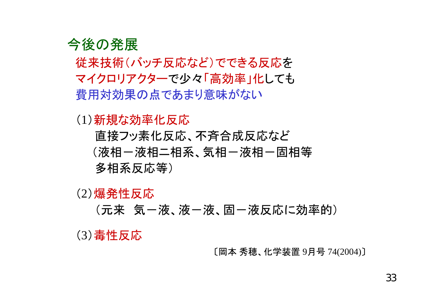

従来技術(バッチ反応など)でできる反応を マイクロリアクターで少々「高効率」化しても 費用対効果の点であまり意味がない

(1)新規な効率化反応

直接フッ素化反応、不斉合成反応など (液相一液相二相系、気相一液相一固相等 多相系反応等)

(2)爆発性反応

(元来 気-液、液-液、固-液反応に効率的)

(3)毒性反応

〔岡本 秀穂、化学装置 9月号 74(2004)〕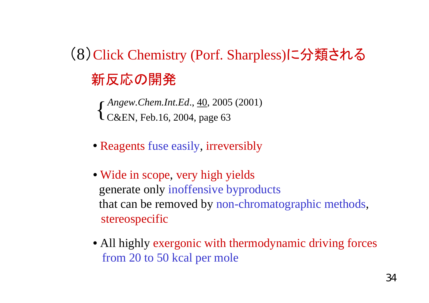(8)Click Chemistry (Porf. Sharpless)に分類される 新反応の開発

*Angew.Chem.Int.Ed*., 40, 2005 (2001)  $\left\{\n \begin{array}{l}\n \text{Angew. Cnem.}\text{Im.} \text{Ea., } \frac{40}{2002}, \\
\text{C&EN, Feb.} \text{16, 2004, page 63}\n \end{array}\n \right.$ 

- Reagents fuse easily, irreversibly
- Wide in scope, very high yields generate only inoffensive byproducts that can be removed by non-chromatographic methods, stereospecific
- All highly exergonic with thermodynamic driving forces from 20 to 50 kcal per mole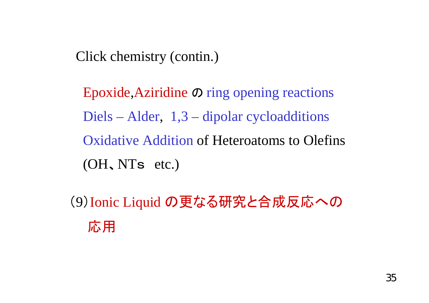Click chemistry (contin.)

Epoxide,Aziridine の ring opening reactions Diels – Alder, 1,3 – dipolar cycloadditions Oxidative Addition of Heteroatoms to Olefins(OH 、NT s etc.)

( 9 )Ionic Liquid の更なる研究と合成反応への 応用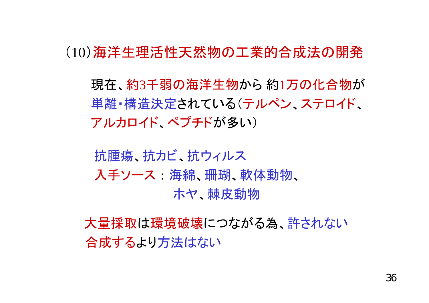(10)海洋生理活性天然物の工業的合成法の開発

現在、約3千弱の海洋生物から 約1万の化合物が 単離・構造決定されている(テルペン、ステロイド、 アルカロイド、ペプチドが多い)

抗腫瘍、抗カビ、抗ウィルス 入手ソース 海綿、珊瑚、軟体動物、 ホヤ、棘皮動物

大量採取は環境破壊につながる為、許されない 合成するより方法はない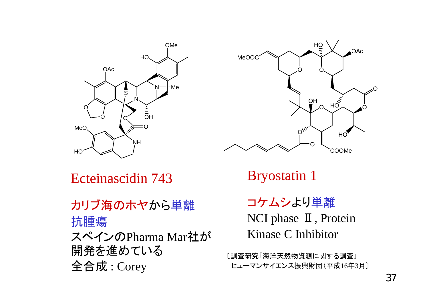



Ecteinascidin 743

カリブ海のホヤから単離 抗腫瘍 スペインのPharma Mar社が 開発を進めている 全合成 : Corey

Bryostatin 1

コケムシより単離 NCI phase  $\mathbb I$ , Protein Kinase C Inhibitor

〔調査研究「海洋天然物資源に関する調査」 ヒューマンサイエンス振興財団(平成16年3月〕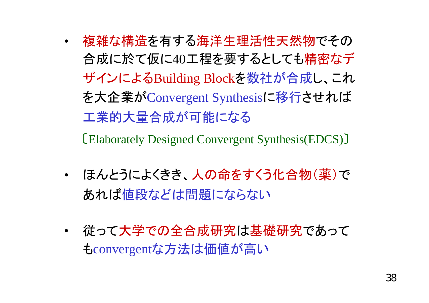- • 複雑な構造を有する海洋生理活性天然物でその 合成に於て仮に40工程を要するとしても精密なデ ザインによるBuilding Blockを数社が合成し、これ を大企業がConvergent Synthesisに移行させれば 工業的大量合成が可能になる 〔Elaborately Designed Convergent Synthesis(EDCS)〕
- $\bullet$  ほんとうによくきき、人の命をすくう化合物(薬)で あれば値段などは問題にならない
- • 従って大学での全合成研究は基礎研究であって もconvergen<sup>t</sup>な方法は価値が高い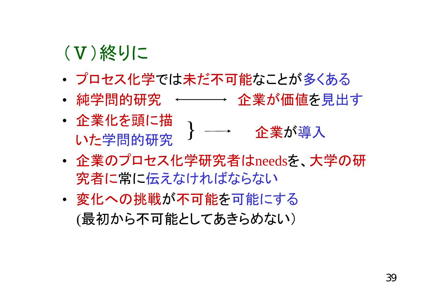## (Ⅴ)終りに

- プロセス化学では未だ不可能なことが多くある
- •• 純学問的研究 ←━━━━ 企業が価値を見出す
- 企業化を頭に描 いた学問的研究 } 企業が導入
- • 企業のプロセス化学研究者はneedsを、大学の研 究者に常に伝えなければならない
- • 変化への挑戦が不可能を可能にする (最初から不可能としてあきらめない)